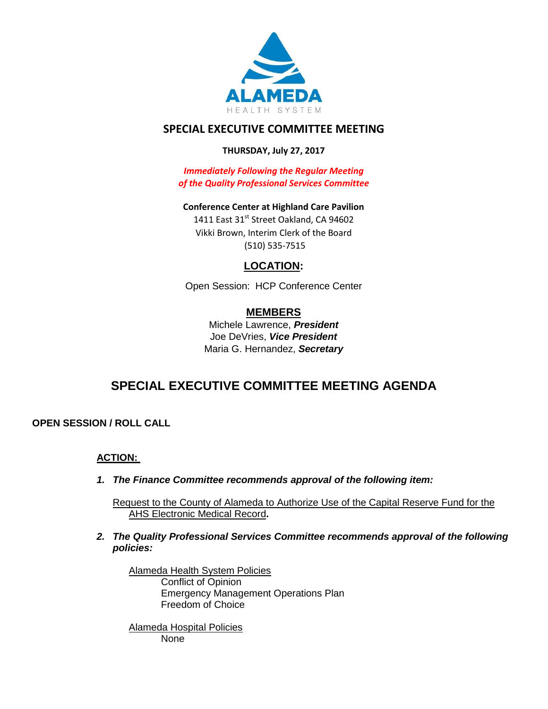

## **SPECIAL EXECUTIVE COMMITTEE MEETING**

## **THURSDAY, July 27, 2017**

*Immediately Following the Regular Meeting of the Quality Professional Services Committee*

**Conference Center at Highland Care Pavilion** 1411 East 31st Street Oakland, CA 94602 Vikki Brown, Interim Clerk of the Board (510) 535-7515

## **LOCATION:**

Open Session: HCP Conference Center

## **MEMBERS**

Michele Lawrence, *President*  Joe DeVries, *Vice President*  Maria G. Hernandez, *Secretary*

# **SPECIAL EXECUTIVE COMMITTEE MEETING AGENDA**

**OPEN SESSION / ROLL CALL** 

## **ACTION:**

*1. The Finance Committee recommends approval of the following item:*

Request to the County of Alameda to Authorize Use of the Capital Reserve Fund for the AHS Electronic Medical Record**.**

*2. The Quality Professional Services Committee recommends approval of the following policies:*

Alameda Health System Policies Conflict of Opinion Emergency Management Operations Plan Freedom of Choice

Alameda Hospital Policies None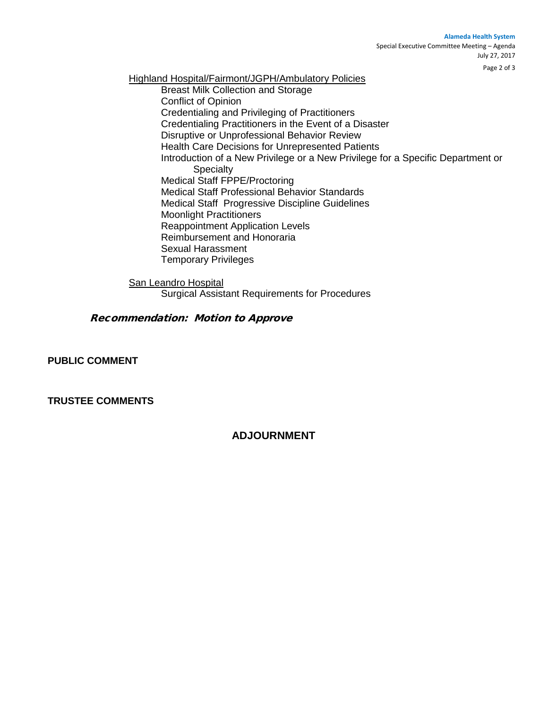#### **Alameda Health System**

Special Executive Committee Meeting – Agenda July 27, 2017

Page 2 of 3

Highland Hospital/Fairmont/JGPH/Ambulatory Policies Breast Milk Collection and Storage Conflict of Opinion Credentialing and Privileging of Practitioners Credentialing Practitioners in the Event of a Disaster Disruptive or Unprofessional Behavior Review Health Care Decisions for Unrepresented Patients Introduction of a New Privilege or a New Privilege for a Specific Department or **Specialty** Medical Staff FPPE/Proctoring Medical Staff Professional Behavior Standards Medical Staff Progressive Discipline Guidelines Moonlight Practitioners Reappointment Application Levels Reimbursement and Honoraria Sexual Harassment Temporary Privileges

San Leandro Hospital

Surgical Assistant Requirements for Procedures

#### Recommendation: Motion to Approve

**PUBLIC COMMENT**

**TRUSTEE COMMENTS** 

## **ADJOURNMENT**